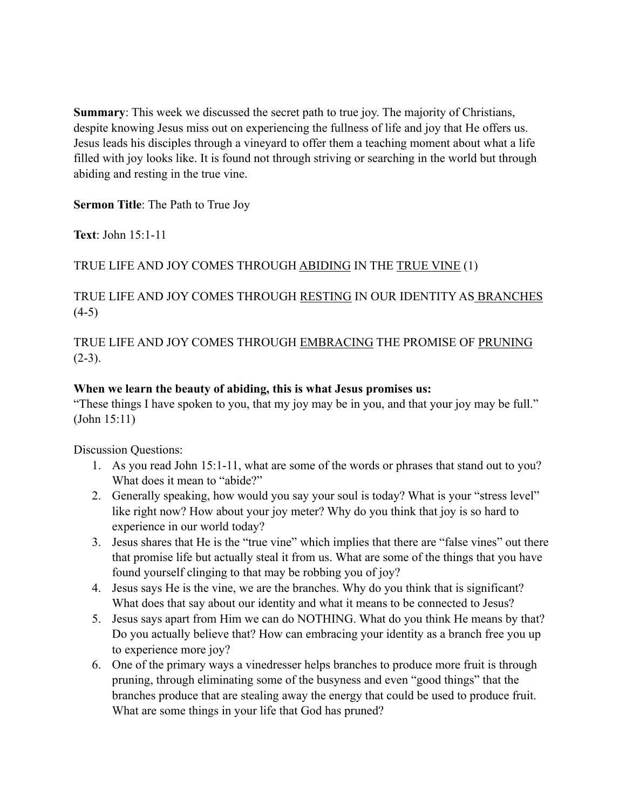**Summary**: This week we discussed the secret path to true joy. The majority of Christians, despite knowing Jesus miss out on experiencing the fullness of life and joy that He offers us. Jesus leads his disciples through a vineyard to offer them a teaching moment about what a life filled with joy looks like. It is found not through striving or searching in the world but through abiding and resting in the true vine.

**Sermon Title**: The Path to True Joy

**Text**: John 15:1-11

## TRUE LIFE AND JOY COMES THROUGH ABIDING IN THE TRUE VINE (1)

## TRUE LIFE AND JOY COMES THROUGH RESTING IN OUR IDENTITY AS BRANCHES  $(4-5)$

TRUE LIFE AND JOY COMES THROUGH EMBRACING THE PROMISE OF PRUNING  $(2-3)$ .

## **When we learn the beauty of abiding, this is what Jesus promises us:**

"These things I have spoken to you, that my joy may be in you, and that your joy may be full." (John 15:11)

Discussion Questions:

- 1. As you read John 15:1-11, what are some of the words or phrases that stand out to you? What does it mean to "abide?"
- 2. Generally speaking, how would you say your soul is today? What is your "stress level" like right now? How about your joy meter? Why do you think that joy is so hard to experience in our world today?
- 3. Jesus shares that He is the "true vine" which implies that there are "false vines" out there that promise life but actually steal it from us. What are some of the things that you have found yourself clinging to that may be robbing you of joy?
- 4. Jesus says He is the vine, we are the branches. Why do you think that is significant? What does that say about our identity and what it means to be connected to Jesus?
- 5. Jesus says apart from Him we can do NOTHING. What do you think He means by that? Do you actually believe that? How can embracing your identity as a branch free you up to experience more joy?
- 6. One of the primary ways a vinedresser helps branches to produce more fruit is through pruning, through eliminating some of the busyness and even "good things" that the branches produce that are stealing away the energy that could be used to produce fruit. What are some things in your life that God has pruned?